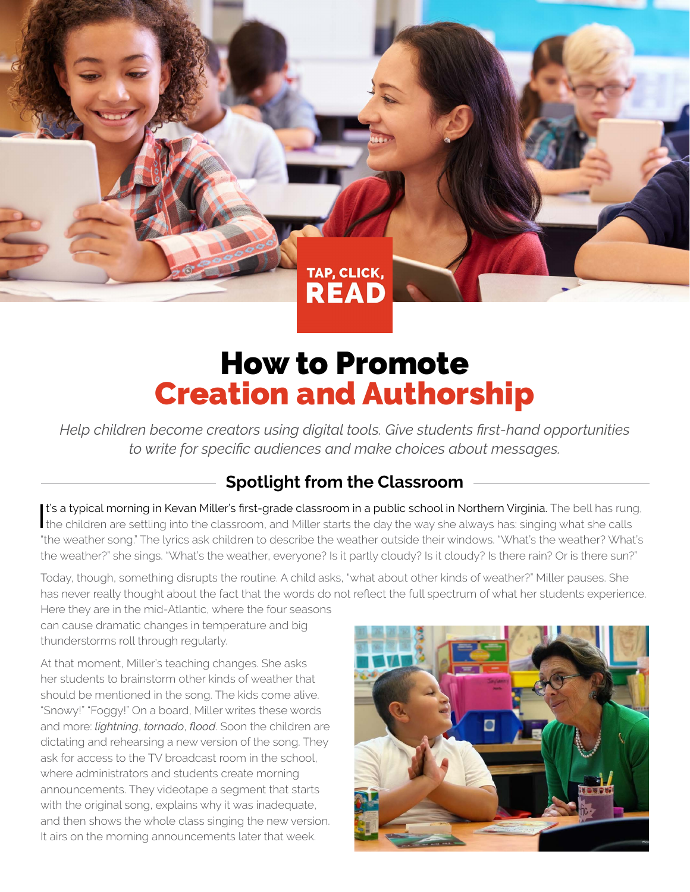TAP, CLICK, **READ** 

## How to Promote Creation and Authorship

*Help children become creators using digital tools. Give students first-hand opportunities to write for specific audiences and make choices about messages.*

## **Spotlight from the Classroom**

It's a typical morning in Kevan Miller's first-grade classroom in a public school in Northern Virginia. The bell has rung<br>the children are settling into the classroom, and Miller starts the day the way she always has: sing It's a typical morning in Kevan Miller's first-grade classroom in a public school in Northern Virginia. The bell has rung, "the weather song." The lyrics ask children to describe the weather outside their windows. "What's the weather? What's the weather?" she sings. "What's the weather, everyone? Is it partly cloudy? Is it cloudy? Is there rain? Or is there sun?"

Today, though, something disrupts the routine. A child asks, "what about other kinds of weather?" Miller pauses. She has never really thought about the fact that the words do not reflect the full spectrum of what her students experience.

Here they are in the mid-Atlantic, where the four seasons can cause dramatic changes in temperature and big thunderstorms roll through regularly.

At that moment, Miller's teaching changes. She asks her students to brainstorm other kinds of weather that should be mentioned in the song. The kids come alive. "Snowy!" "Foggy!" On a board, Miller writes these words and more: *lightning*, *tornado*, *flood*. Soon the children are dictating and rehearsing a new version of the song. They ask for access to the TV broadcast room in the school, where administrators and students create morning announcements. They videotape a segment that starts with the original song, explains why it was inadequate, and then shows the whole class singing the new version. It airs on the morning announcements later that week.